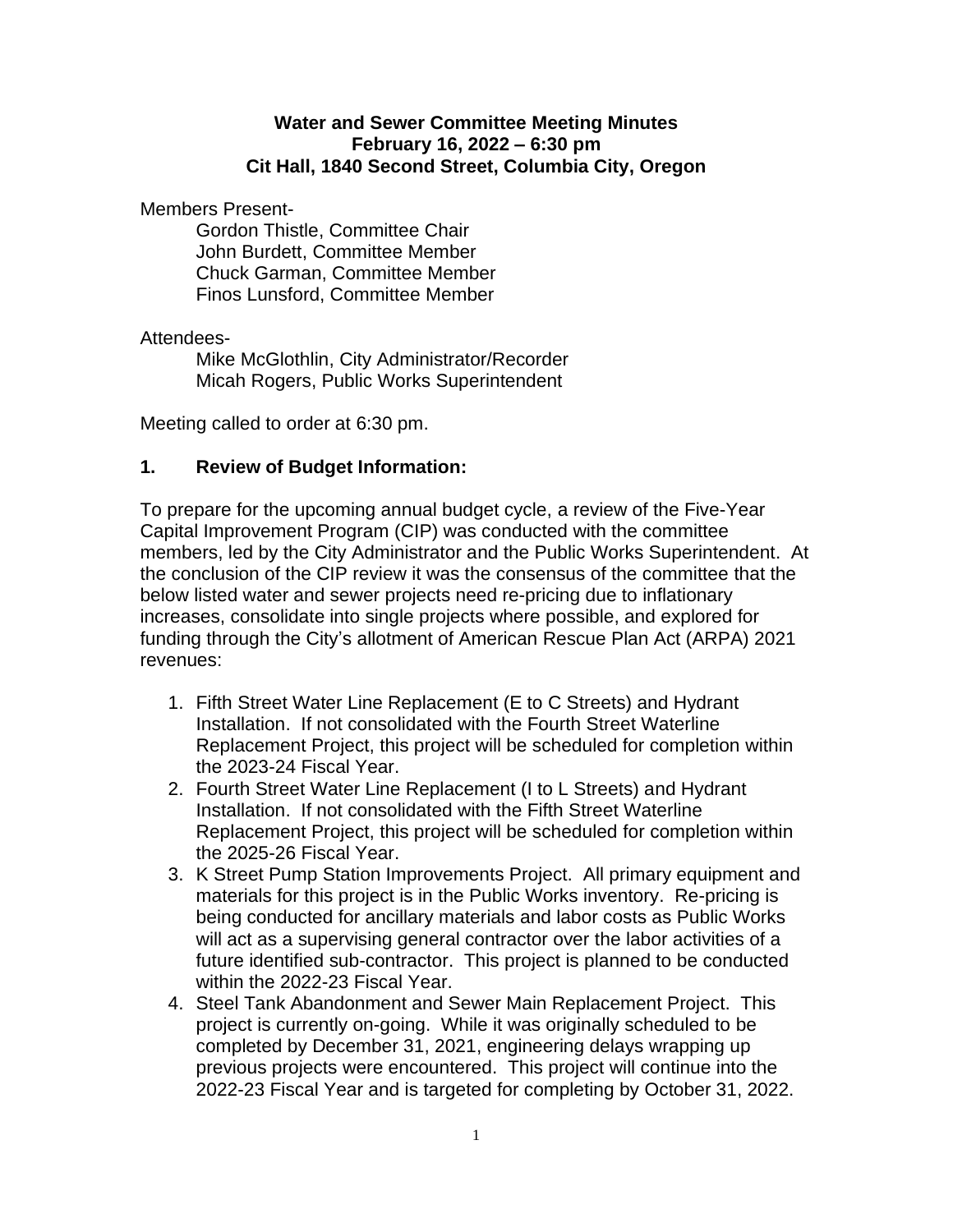### **Water and Sewer Committee Meeting Minutes February 16, 2022 – 6:30 pm Cit Hall, 1840 Second Street, Columbia City, Oregon**

Members Present-

Gordon Thistle, Committee Chair John Burdett, Committee Member Chuck Garman, Committee Member Finos Lunsford, Committee Member

## Attendees-

Mike McGlothlin, City Administrator/Recorder Micah Rogers, Public Works Superintendent

Meeting called to order at 6:30 pm.

## **1. Review of Budget Information:**

To prepare for the upcoming annual budget cycle, a review of the Five-Year Capital Improvement Program (CIP) was conducted with the committee members, led by the City Administrator and the Public Works Superintendent. At the conclusion of the CIP review it was the consensus of the committee that the below listed water and sewer projects need re-pricing due to inflationary increases, consolidate into single projects where possible, and explored for funding through the City's allotment of American Rescue Plan Act (ARPA) 2021 revenues:

- 1. Fifth Street Water Line Replacement (E to C Streets) and Hydrant Installation. If not consolidated with the Fourth Street Waterline Replacement Project, this project will be scheduled for completion within the 2023-24 Fiscal Year.
- 2. Fourth Street Water Line Replacement (I to L Streets) and Hydrant Installation. If not consolidated with the Fifth Street Waterline Replacement Project, this project will be scheduled for completion within the 2025-26 Fiscal Year.
- 3. K Street Pump Station Improvements Project. All primary equipment and materials for this project is in the Public Works inventory. Re-pricing is being conducted for ancillary materials and labor costs as Public Works will act as a supervising general contractor over the labor activities of a future identified sub-contractor. This project is planned to be conducted within the 2022-23 Fiscal Year.
- 4. Steel Tank Abandonment and Sewer Main Replacement Project. This project is currently on-going. While it was originally scheduled to be completed by December 31, 2021, engineering delays wrapping up previous projects were encountered. This project will continue into the 2022-23 Fiscal Year and is targeted for completing by October 31, 2022.